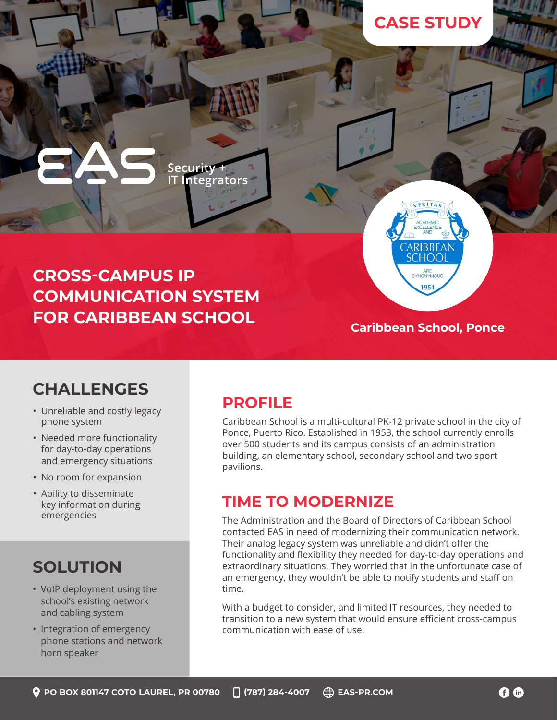## **CASE STUDY**

## **CROSS-CAMPUS IP COMMUNICATION SYSTEM FOR CARIBBEAN SCHOOL**

Security + **IT Integrators** 

#### **Caribbean School, Ponce**

VERITA

CARIBBEAN **SCHOOL** ARE 1954

### **CHALLENGES**

- Unreliable and costly legacy phone system
- Needed more functionality for day-to-day operations and emergency situations
- No room for expansion
- Ability to disseminate key information during emergencies

## **SOLUTION**

- VoIP deployment using the school's existing network and cabling system
- Integration of emergency phone stations and network horn speaker

#### **PROFILE**

Caribbean School is a multi-cultural PK-12 private school in the city of Ponce, Puerto Rico. Established in 1953, the school currently enrolls over 500 students and its campus consists of an administration building, an elementary school, secondary school and two sport pavilions.

#### **TIME TO MODERNIZE**

The Administration and the Board of Directors of Caribbean School contacted EAS in need of modernizing their communication network. Their analog legacy system was unreliable and didn't offer the functionality and flexibility they needed for day-to-day operations and extraordinary situations. They worried that in the unfortunate case of an emergency, they wouldn't be able to notify students and staff on time.

With a budget to consider, and limited IT resources, they needed to transition to a new system that would ensure efficient cross-campus communication with ease of use.